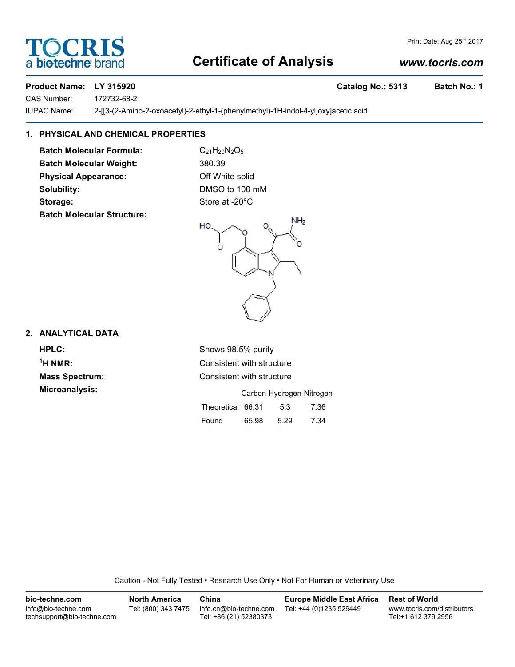## **Certificate of Analysis**

### *www.tocris.com*

Print Date: Aug 25th 2017

**TOCRIS** 

a **bio-techne** bra

**Product Name: LY 315920 Catalog No.: 5313 Batch No.: 1** CAS Number: 172732-68-2

IUPAC Name: 2-[[3-(2-Amino-2-oxoacetyl)-2-ethyl-1-(phenylmethyl)-1H-indol-4-yl]oxy]acetic acid

#### **1. PHYSICAL AND CHEMICAL PROPERTIES**

**Batch Molecular Formula:** C<sub>21</sub>H<sub>20</sub>N<sub>2</sub>O<sub>5</sub> Batch Molecular Weight: 380.39 **Physical Appearance:** Off White solid **Solubility:** DMSO to 100 mM Storage: Store at -20°C **Batch Molecular Structure:**



#### **2. ANALYTICAL DATA**

<sup>1</sup>H NMR:

**HPLC:** Shows 98.5% purity **Consistent with structure Mass Spectrum:** Consistent with structure **Microanalysis:** Microanalysis: Exercise of Carbon Hydrogen Nitrogen Theoretical 66.31 5.3 7.36 Found 65.98 5.29 7.34

Caution - Not Fully Tested • Research Use Only • Not For Human or Veterinary Use

| bio-techne.com                                    | <b>North America</b> | China                                            | <b>Europe Middle East Africa</b> | <b>Rest of World</b>                               |
|---------------------------------------------------|----------------------|--------------------------------------------------|----------------------------------|----------------------------------------------------|
| info@bio-techne.com<br>techsupport@bio-techne.com | Tel: (800) 343 7475  | info.cn@bio-techne.com<br>Tel: +86 (21) 52380373 | Tel: +44 (0)1235 529449          | www.tocris.com/distributors<br>Tel:+1 612 379 2956 |